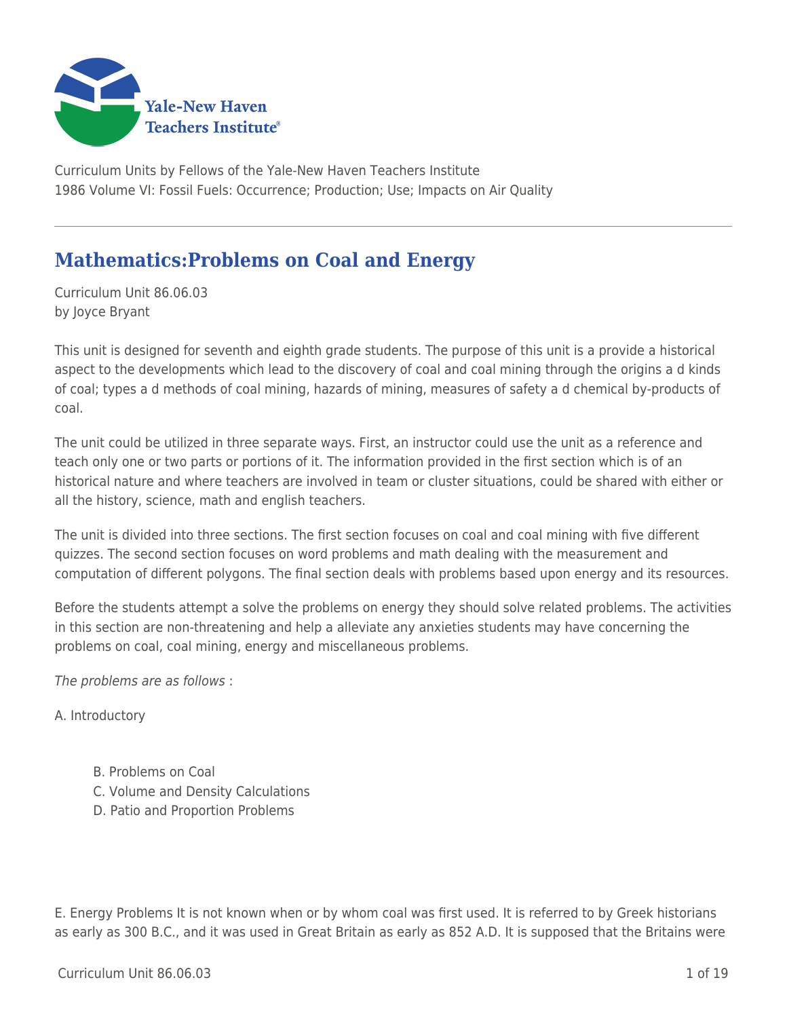

Curriculum Units by Fellows of the Yale-New Haven Teachers Institute 1986 Volume VI: Fossil Fuels: Occurrence; Production; Use; Impacts on Air Quality

# **Mathematics:Problems on Coal and Energy**

Curriculum Unit 86.06.03 by Joyce Bryant

This unit is designed for seventh and eighth grade students. The purpose of this unit is a provide a historical aspect to the developments which lead to the discovery of coal and coal mining through the origins a d kinds of coal; types a d methods of coal mining, hazards of mining, measures of safety a d chemical by-products of coal.

The unit could be utilized in three separate ways. First, an instructor could use the unit as a reference and teach only one or two parts or portions of it. The information provided in the first section which is of an historical nature and where teachers are involved in team or cluster situations, could be shared with either or all the history, science, math and english teachers.

The unit is divided into three sections. The first section focuses on coal and coal mining with five different quizzes. The second section focuses on word problems and math dealing with the measurement and computation of different polygons. The final section deals with problems based upon energy and its resources.

Before the students attempt a solve the problems on energy they should solve related problems. The activities in this section are non-threatening and help a alleviate any anxieties students may have concerning the problems on coal, coal mining, energy and miscellaneous problems.

The problems are as follows :

A. Introductory

- B. Problems on Coal
- C. Volume and Density Calculations
- D. Patio and Proportion Problems

E. Energy Problems It is not known when or by whom coal was first used. It is referred to by Greek historians as early as 300 B.C., and it was used in Great Britain as early as 852 A.D. It is supposed that the Britains were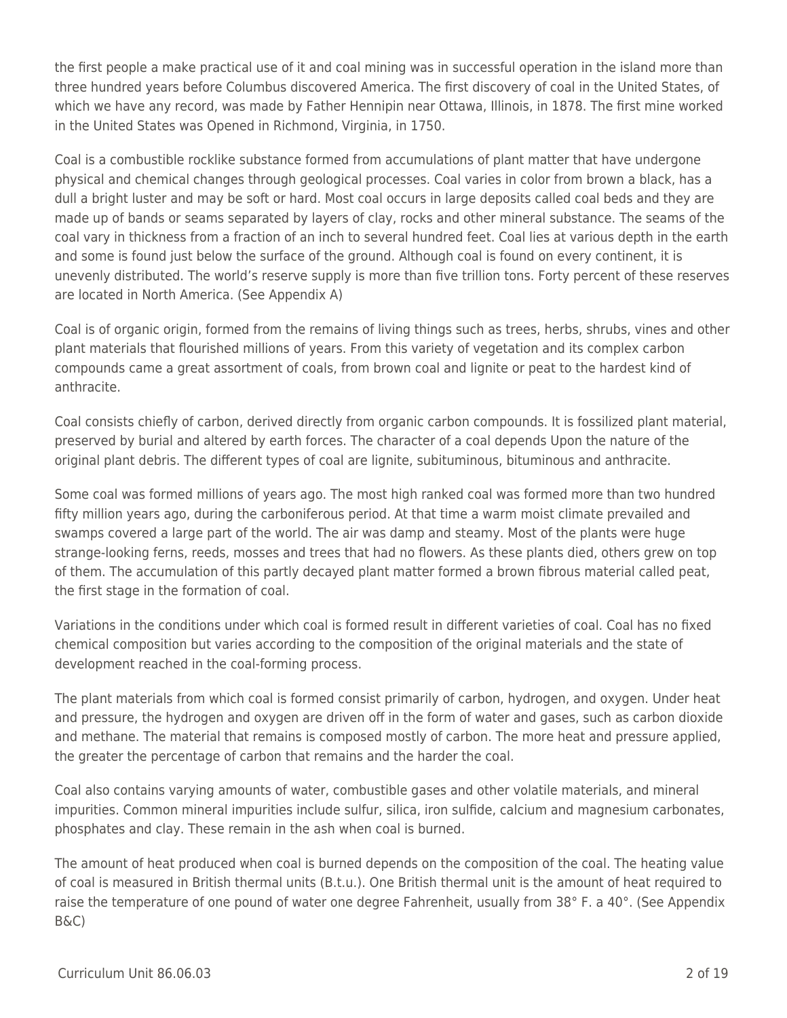the first people a make practical use of it and coal mining was in successful operation in the island more than three hundred years before Columbus discovered America. The first discovery of coal in the United States, of which we have any record, was made by Father Hennipin near Ottawa, Illinois, in 1878. The first mine worked in the United States was Opened in Richmond, Virginia, in 1750.

Coal is a combustible rocklike substance formed from accumulations of plant matter that have undergone physical and chemical changes through geological processes. Coal varies in color from brown a black, has a dull a bright luster and may be soft or hard. Most coal occurs in large deposits called coal beds and they are made up of bands or seams separated by layers of clay, rocks and other mineral substance. The seams of the coal vary in thickness from a fraction of an inch to several hundred feet. Coal lies at various depth in the earth and some is found just below the surface of the ground. Although coal is found on every continent, it is unevenly distributed. The world's reserve supply is more than five trillion tons. Forty percent of these reserves are located in North America. (See Appendix A)

Coal is of organic origin, formed from the remains of living things such as trees, herbs, shrubs, vines and other plant materials that flourished millions of years. From this variety of vegetation and its complex carbon compounds came a great assortment of coals, from brown coal and lignite or peat to the hardest kind of anthracite.

Coal consists chiefly of carbon, derived directly from organic carbon compounds. It is fossilized plant material, preserved by burial and altered by earth forces. The character of a coal depends Upon the nature of the original plant debris. The different types of coal are lignite, subituminous, bituminous and anthracite.

Some coal was formed millions of years ago. The most high ranked coal was formed more than two hundred fifty million years ago, during the carboniferous period. At that time a warm moist climate prevailed and swamps covered a large part of the world. The air was damp and steamy. Most of the plants were huge strange-looking ferns, reeds, mosses and trees that had no flowers. As these plants died, others grew on top of them. The accumulation of this partly decayed plant matter formed a brown fibrous material called peat, the first stage in the formation of coal.

Variations in the conditions under which coal is formed result in different varieties of coal. Coal has no fixed chemical composition but varies according to the composition of the original materials and the state of development reached in the coal-forming process.

The plant materials from which coal is formed consist primarily of carbon, hydrogen, and oxygen. Under heat and pressure, the hydrogen and oxygen are driven off in the form of water and gases, such as carbon dioxide and methane. The material that remains is composed mostly of carbon. The more heat and pressure applied, the greater the percentage of carbon that remains and the harder the coal.

Coal also contains varying amounts of water, combustible gases and other volatile materials, and mineral impurities. Common mineral impurities include sulfur, silica, iron sulfide, calcium and magnesium carbonates, phosphates and clay. These remain in the ash when coal is burned.

The amount of heat produced when coal is burned depends on the composition of the coal. The heating value of coal is measured in British thermal units (B.t.u.). One British thermal unit is the amount of heat required to raise the temperature of one pound of water one degree Fahrenheit, usually from 38° F. a 40°. (See Appendix B&C)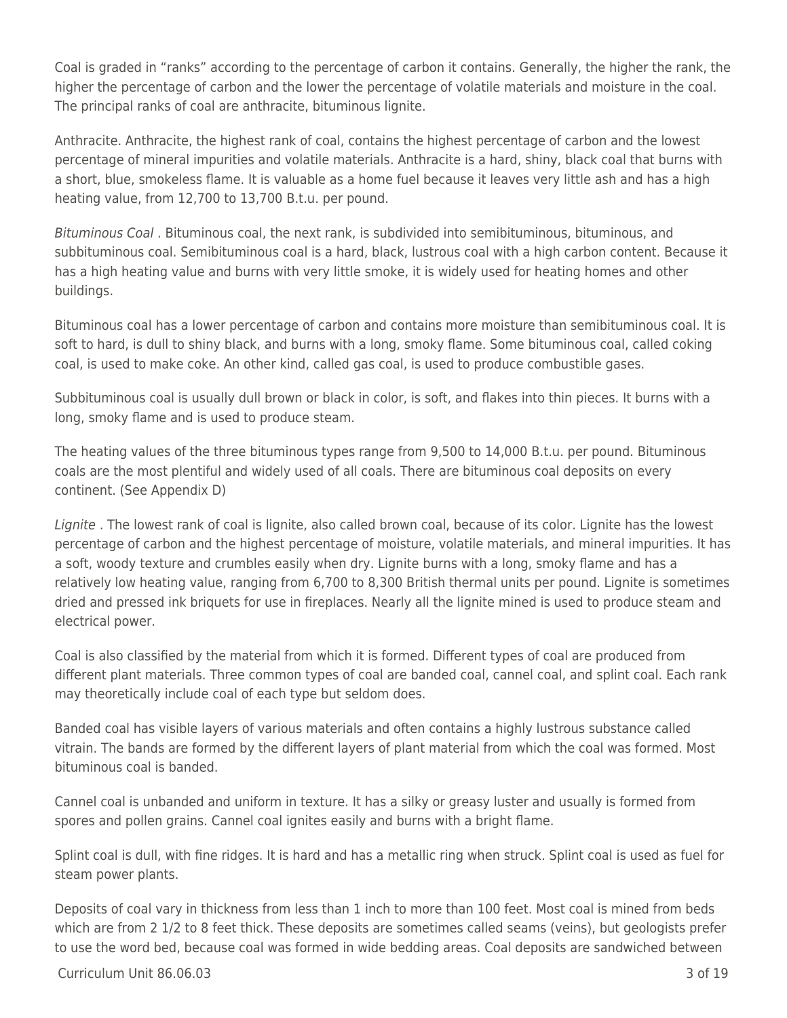Coal is graded in "ranks" according to the percentage of carbon it contains. Generally, the higher the rank, the higher the percentage of carbon and the lower the percentage of volatile materials and moisture in the coal. The principal ranks of coal are anthracite, bituminous lignite.

Anthracite. Anthracite, the highest rank of coal, contains the highest percentage of carbon and the lowest percentage of mineral impurities and volatile materials. Anthracite is a hard, shiny, black coal that burns with a short, blue, smokeless flame. It is valuable as a home fuel because it leaves very little ash and has a high heating value, from 12,700 to 13,700 B.t.u. per pound.

Bituminous Coal . Bituminous coal, the next rank, is subdivided into semibituminous, bituminous, and subbituminous coal. Semibituminous coal is a hard, black, lustrous coal with a high carbon content. Because it has a high heating value and burns with very little smoke, it is widely used for heating homes and other buildings.

Bituminous coal has a lower percentage of carbon and contains more moisture than semibituminous coal. It is soft to hard, is dull to shiny black, and burns with a long, smoky flame. Some bituminous coal, called coking coal, is used to make coke. An other kind, called gas coal, is used to produce combustible gases.

Subbituminous coal is usually dull brown or black in color, is soft, and flakes into thin pieces. It burns with a long, smoky flame and is used to produce steam.

The heating values of the three bituminous types range from 9,500 to 14,000 B.t.u. per pound. Bituminous coals are the most plentiful and widely used of all coals. There are bituminous coal deposits on every continent. (See Appendix D)

Lignite . The lowest rank of coal is lignite, also called brown coal, because of its color. Lignite has the lowest percentage of carbon and the highest percentage of moisture, volatile materials, and mineral impurities. It has a soft, woody texture and crumbles easily when dry. Lignite burns with a long, smoky flame and has a relatively low heating value, ranging from 6,700 to 8,300 British thermal units per pound. Lignite is sometimes dried and pressed ink briquets for use in fireplaces. Nearly all the lignite mined is used to produce steam and electrical power.

Coal is also classified by the material from which it is formed. Different types of coal are produced from different plant materials. Three common types of coal are banded coal, cannel coal, and splint coal. Each rank may theoretically include coal of each type but seldom does.

Banded coal has visible layers of various materials and often contains a highly lustrous substance called vitrain. The bands are formed by the different layers of plant material from which the coal was formed. Most bituminous coal is banded.

Cannel coal is unbanded and uniform in texture. It has a silky or greasy luster and usually is formed from spores and pollen grains. Cannel coal ignites easily and burns with a bright flame.

Splint coal is dull, with fine ridges. It is hard and has a metallic ring when struck. Splint coal is used as fuel for steam power plants.

Deposits of coal vary in thickness from less than 1 inch to more than 100 feet. Most coal is mined from beds which are from 2 1/2 to 8 feet thick. These deposits are sometimes called seams (veins), but geologists prefer to use the word bed, because coal was formed in wide bedding areas. Coal deposits are sandwiched between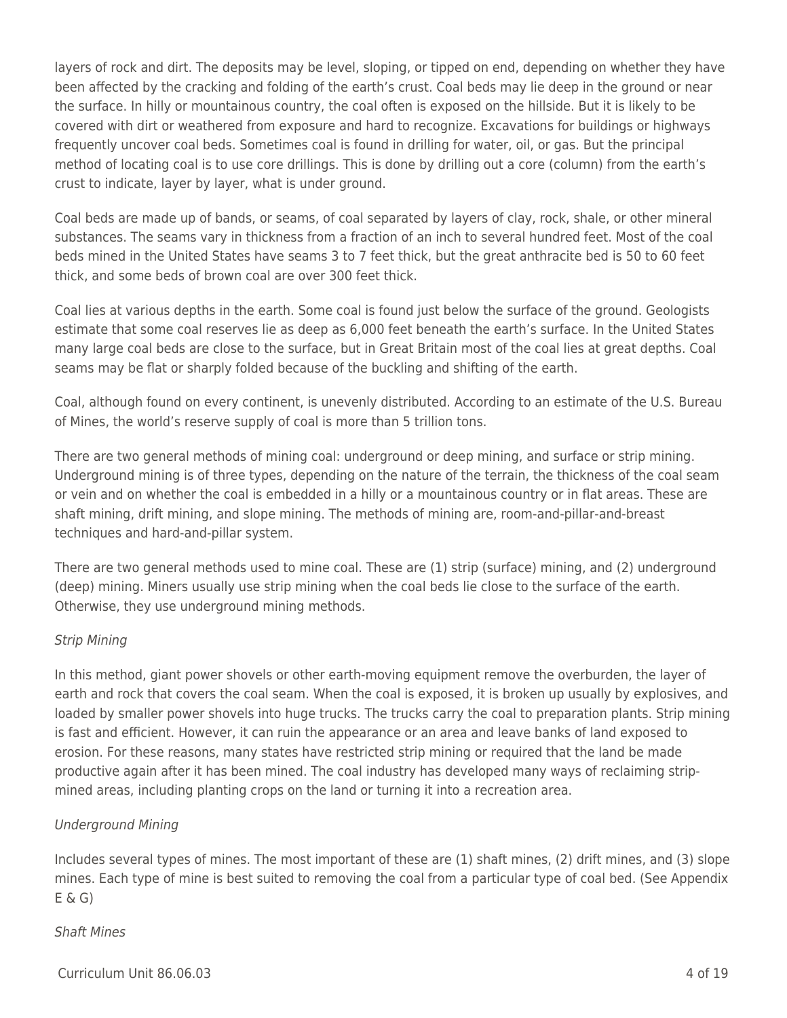layers of rock and dirt. The deposits may be level, sloping, or tipped on end, depending on whether they have been affected by the cracking and folding of the earth's crust. Coal beds may lie deep in the ground or near the surface. In hilly or mountainous country, the coal often is exposed on the hillside. But it is likely to be covered with dirt or weathered from exposure and hard to recognize. Excavations for buildings or highways frequently uncover coal beds. Sometimes coal is found in drilling for water, oil, or gas. But the principal method of locating coal is to use core drillings. This is done by drilling out a core (column) from the earth's crust to indicate, layer by layer, what is under ground.

Coal beds are made up of bands, or seams, of coal separated by layers of clay, rock, shale, or other mineral substances. The seams vary in thickness from a fraction of an inch to several hundred feet. Most of the coal beds mined in the United States have seams 3 to 7 feet thick, but the great anthracite bed is 50 to 60 feet thick, and some beds of brown coal are over 300 feet thick.

Coal lies at various depths in the earth. Some coal is found just below the surface of the ground. Geologists estimate that some coal reserves lie as deep as 6,000 feet beneath the earth's surface. In the United States many large coal beds are close to the surface, but in Great Britain most of the coal lies at great depths. Coal seams may be flat or sharply folded because of the buckling and shifting of the earth.

Coal, although found on every continent, is unevenly distributed. According to an estimate of the U.S. Bureau of Mines, the world's reserve supply of coal is more than 5 trillion tons.

There are two general methods of mining coal: underground or deep mining, and surface or strip mining. Underground mining is of three types, depending on the nature of the terrain, the thickness of the coal seam or vein and on whether the coal is embedded in a hilly or a mountainous country or in flat areas. These are shaft mining, drift mining, and slope mining. The methods of mining are, room-and-pillar-and-breast techniques and hard-and-pillar system.

There are two general methods used to mine coal. These are (1) strip (surface) mining, and (2) underground (deep) mining. Miners usually use strip mining when the coal beds lie close to the surface of the earth. Otherwise, they use underground mining methods.

### Strip Mining

In this method, giant power shovels or other earth-moving equipment remove the overburden, the layer of earth and rock that covers the coal seam. When the coal is exposed, it is broken up usually by explosives, and loaded by smaller power shovels into huge trucks. The trucks carry the coal to preparation plants. Strip mining is fast and efficient. However, it can ruin the appearance or an area and leave banks of land exposed to erosion. For these reasons, many states have restricted strip mining or required that the land be made productive again after it has been mined. The coal industry has developed many ways of reclaiming stripmined areas, including planting crops on the land or turning it into a recreation area.

### Underground Mining

Includes several types of mines. The most important of these are (1) shaft mines, (2) drift mines, and (3) slope mines. Each type of mine is best suited to removing the coal from a particular type of coal bed. (See Appendix  $E \& G$ 

### Shaft Mines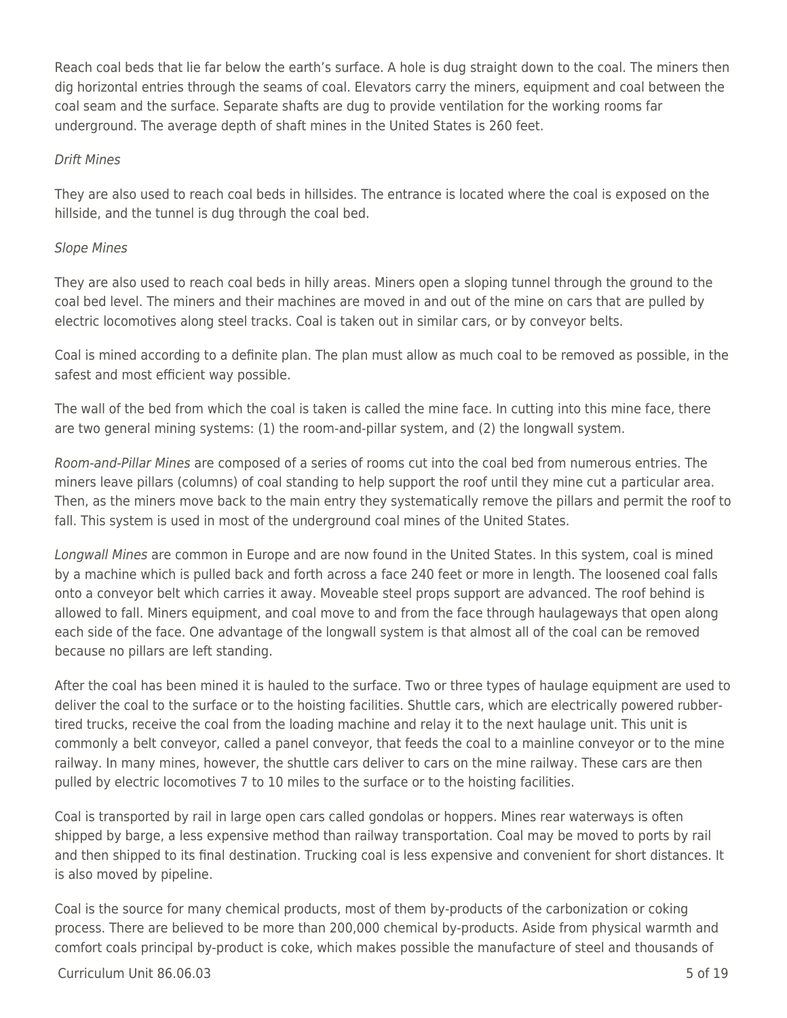Reach coal beds that lie far below the earth's surface. A hole is dug straight down to the coal. The miners then dig horizontal entries through the seams of coal. Elevators carry the miners, equipment and coal between the coal seam and the surface. Separate shafts are dug to provide ventilation for the working rooms far underground. The average depth of shaft mines in the United States is 260 feet.

#### Drift Mines

They are also used to reach coal beds in hillsides. The entrance is located where the coal is exposed on the hillside, and the tunnel is dug through the coal bed.

#### Slope Mines

They are also used to reach coal beds in hilly areas. Miners open a sloping tunnel through the ground to the coal bed level. The miners and their machines are moved in and out of the mine on cars that are pulled by electric locomotives along steel tracks. Coal is taken out in similar cars, or by conveyor belts.

Coal is mined according to a definite plan. The plan must allow as much coal to be removed as possible, in the safest and most efficient way possible.

The wall of the bed from which the coal is taken is called the mine face. In cutting into this mine face, there are two general mining systems: (1) the room-and-pillar system, and (2) the longwall system.

Room-and-Pillar Mines are composed of a series of rooms cut into the coal bed from numerous entries. The miners leave pillars (columns) of coal standing to help support the roof until they mine cut a particular area. Then, as the miners move back to the main entry they systematically remove the pillars and permit the roof to fall. This system is used in most of the underground coal mines of the United States.

Longwall Mines are common in Europe and are now found in the United States. In this system, coal is mined by a machine which is pulled back and forth across a face 240 feet or more in length. The loosened coal falls onto a conveyor belt which carries it away. Moveable steel props support are advanced. The roof behind is allowed to fall. Miners equipment, and coal move to and from the face through haulageways that open along each side of the face. One advantage of the longwall system is that almost all of the coal can be removed because no pillars are left standing.

After the coal has been mined it is hauled to the surface. Two or three types of haulage equipment are used to deliver the coal to the surface or to the hoisting facilities. Shuttle cars, which are electrically powered rubbertired trucks, receive the coal from the loading machine and relay it to the next haulage unit. This unit is commonly a belt conveyor, called a panel conveyor, that feeds the coal to a mainline conveyor or to the mine railway. In many mines, however, the shuttle cars deliver to cars on the mine railway. These cars are then pulled by electric locomotives 7 to 10 miles to the surface or to the hoisting facilities.

Coal is transported by rail in large open cars called gondolas or hoppers. Mines rear waterways is often shipped by barge, a less expensive method than railway transportation. Coal may be moved to ports by rail and then shipped to its final destination. Trucking coal is less expensive and convenient for short distances. It is also moved by pipeline.

Coal is the source for many chemical products, most of them by-products of the carbonization or coking process. There are believed to be more than 200,000 chemical by-products. Aside from physical warmth and comfort coals principal by-product is coke, which makes possible the manufacture of steel and thousands of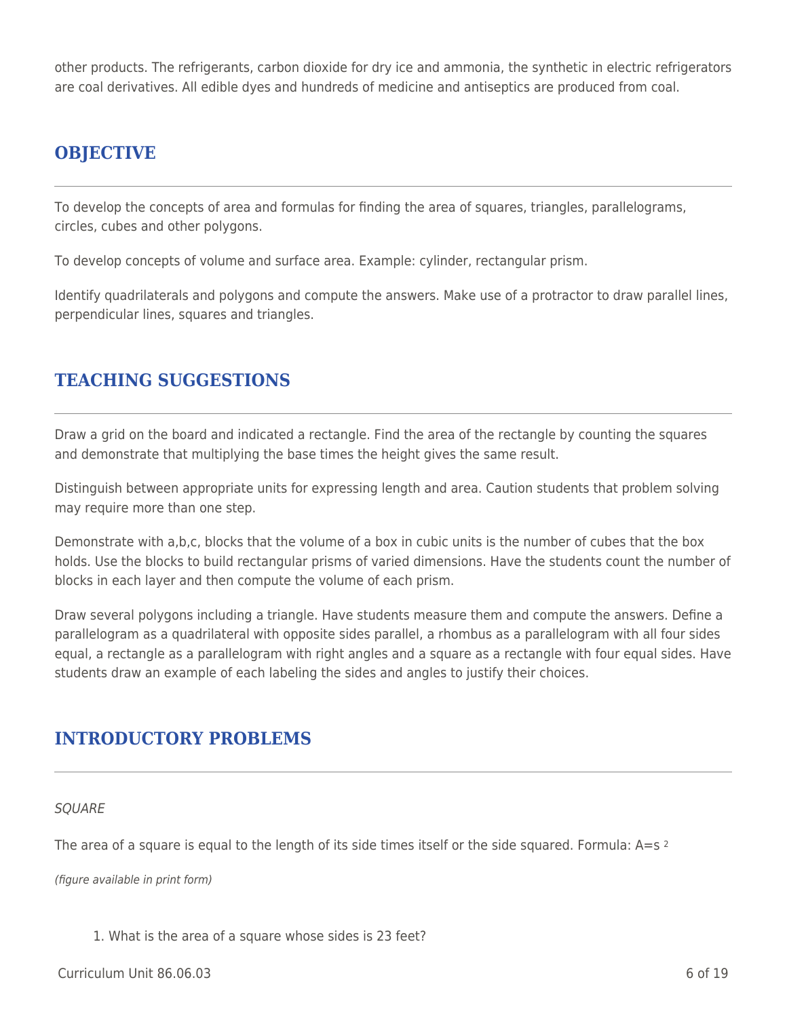other products. The refrigerants, carbon dioxide for dry ice and ammonia, the synthetic in electric refrigerators are coal derivatives. All edible dyes and hundreds of medicine and antiseptics are produced from coal.

# **OBJECTIVE**

To develop the concepts of area and formulas for finding the area of squares, triangles, parallelograms, circles, cubes and other polygons.

To develop concepts of volume and surface area. Example: cylinder, rectangular prism.

Identify quadrilaterals and polygons and compute the answers. Make use of a protractor to draw parallel lines, perpendicular lines, squares and triangles.

# **TEACHING SUGGESTIONS**

Draw a grid on the board and indicated a rectangle. Find the area of the rectangle by counting the squares and demonstrate that multiplying the base times the height gives the same result.

Distinguish between appropriate units for expressing length and area. Caution students that problem solving may require more than one step.

Demonstrate with a,b,c, blocks that the volume of a box in cubic units is the number of cubes that the box holds. Use the blocks to build rectangular prisms of varied dimensions. Have the students count the number of blocks in each layer and then compute the volume of each prism.

Draw several polygons including a triangle. Have students measure them and compute the answers. Define a parallelogram as a quadrilateral with opposite sides parallel, a rhombus as a parallelogram with all four sides equal, a rectangle as a parallelogram with right angles and a square as a rectangle with four equal sides. Have students draw an example of each labeling the sides and angles to justify their choices.

## **INTRODUCTORY PROBLEMS**

#### **SOUARE**

The area of a square is equal to the length of its side times itself or the side squared. Formula:  $A = s$  2

(figure available in print form)

1. What is the area of a square whose sides is 23 feet?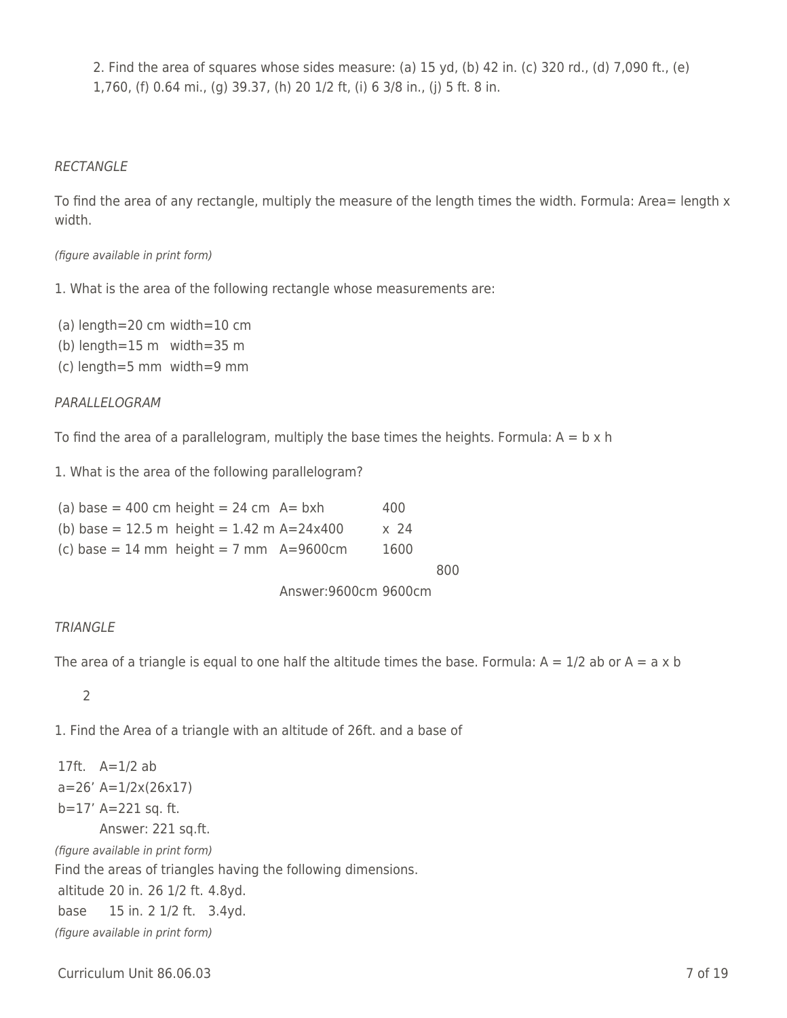2. Find the area of squares whose sides measure: (a) 15 yd, (b) 42 in. (c) 320 rd., (d) 7,090 ft., (e) 1,760, (f) 0.64 mi., (g) 39.37, (h) 20 1/2 ft, (i) 6 3/8 in., (j) 5 ft. 8 in.

#### RECTANGLE

To find the area of any rectangle, multiply the measure of the length times the width. Formula: Area= length x width.

#### (figure available in print form)

1. What is the area of the following rectangle whose measurements are:

(a) length=20 cm width=10 cm

(b) length=15 m width=35 m

(c) length=5 mm width=9 mm

#### PARALLELOGRAM

To find the area of a parallelogram, multiply the base times the heights. Formula:  $A = b \times h$ 

1. What is the area of the following parallelogram?

|  | (a) base = 400 cm height = $24$ cm A= bxh |                                              | 400  |
|--|-------------------------------------------|----------------------------------------------|------|
|  |                                           | (b) base = 12.5 m height = $1.42$ m A=24x400 | x 24 |
|  |                                           |                                              |      |

|  | (c) base = 14 mm height = 7 mm $A=9600cm$ | 1600 |
|--|-------------------------------------------|------|
|  |                                           |      |

800

Answer:9600cm 9600cm

#### **TRIANGLE**

The area of a triangle is equal to one half the altitude times the base. Formula:  $A = 1/2$  ab or  $A = a \times b$ 

### \_\_\_\_ 2

1. Find the Area of a triangle with an altitude of 26ft. and a base of

17ft. A=1/2 ab a=26' A=1/2x(26x17) b=17' A=221 sq. ft. Answer: 221 sq.ft. (figure available in print form) Find the areas of triangles having the following dimensions. altitude 20 in. 26 1/2 ft. 4.8yd. base 15 in. 2 1/2 ft. 3.4yd. (figure available in print form)

Curriculum Unit 86.06.03 7 of 19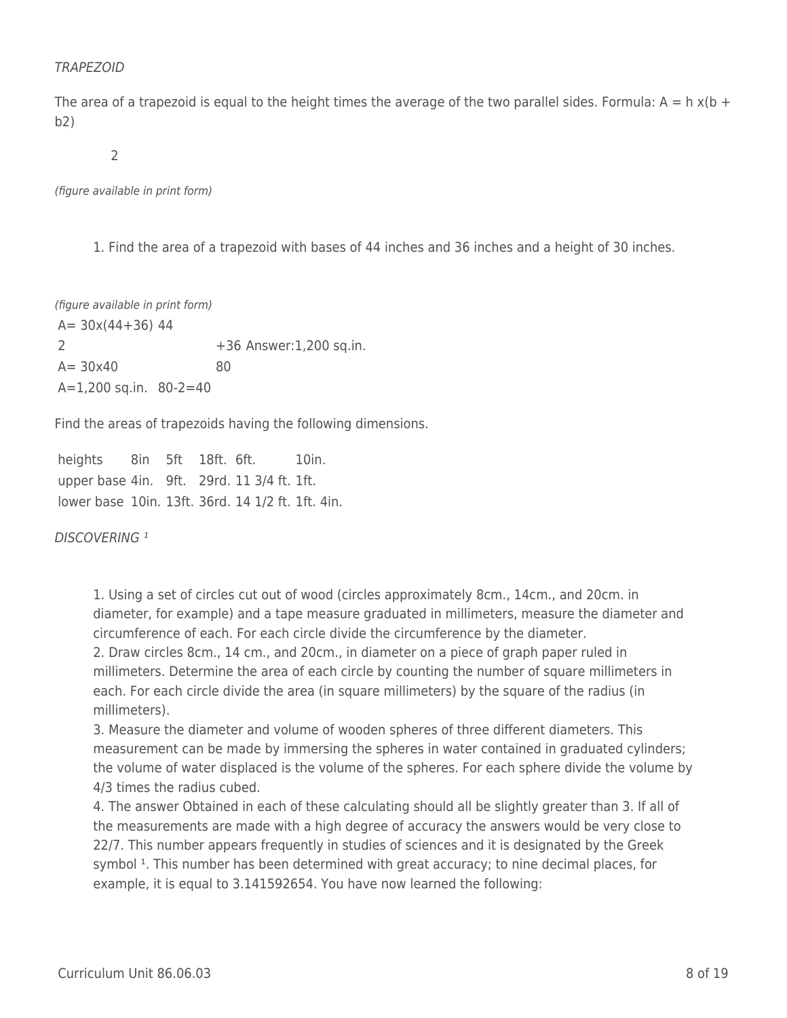#### TRAPEZOID

The area of a trapezoid is equal to the height times the average of the two parallel sides. Formula:  $A = h x(b + b)$ b2)

 $2$ 

(figure available in print form)

1. Find the area of a trapezoid with bases of 44 inches and 36 inches and a height of 30 inches.

(figure available in print form)  $A= 30x(44+36)$  44 2 +36 Answer:1,200 sq.in.  $A = 30x40$  80 A=1,200 sq.in. 80-2=40

Find the areas of trapezoids having the following dimensions.

heights 8in 5ft 18ft. 6ft. 10in. upper base 4in. 9ft. 29rd. 11 3/4 ft. 1ft. lower base 10in. 13ft. 36rd. 14 1/2 ft. 1ft. 4in.

DISCOVERING<sup>1</sup>

1. Using a set of circles cut out of wood (circles approximately 8cm., 14cm., and 20cm. in diameter, for example) and a tape measure graduated in millimeters, measure the diameter and circumference of each. For each circle divide the circumference by the diameter. 2. Draw circles 8cm., 14 cm., and 20cm., in diameter on a piece of graph paper ruled in millimeters. Determine the area of each circle by counting the number of square millimeters in each. For each circle divide the area (in square millimeters) by the square of the radius (in millimeters).

3. Measure the diameter and volume of wooden spheres of three different diameters. This measurement can be made by immersing the spheres in water contained in graduated cylinders; the volume of water displaced is the volume of the spheres. For each sphere divide the volume by 4/3 times the radius cubed.

4. The answer Obtained in each of these calculating should all be slightly greater than 3. If all of the measurements are made with a high degree of accuracy the answers would be very close to 22/7. This number appears frequently in studies of sciences and it is designated by the Greek symbol <sup>1</sup>. This number has been determined with great accuracy; to nine decimal places, for example, it is equal to 3.141592654. You have now learned the following: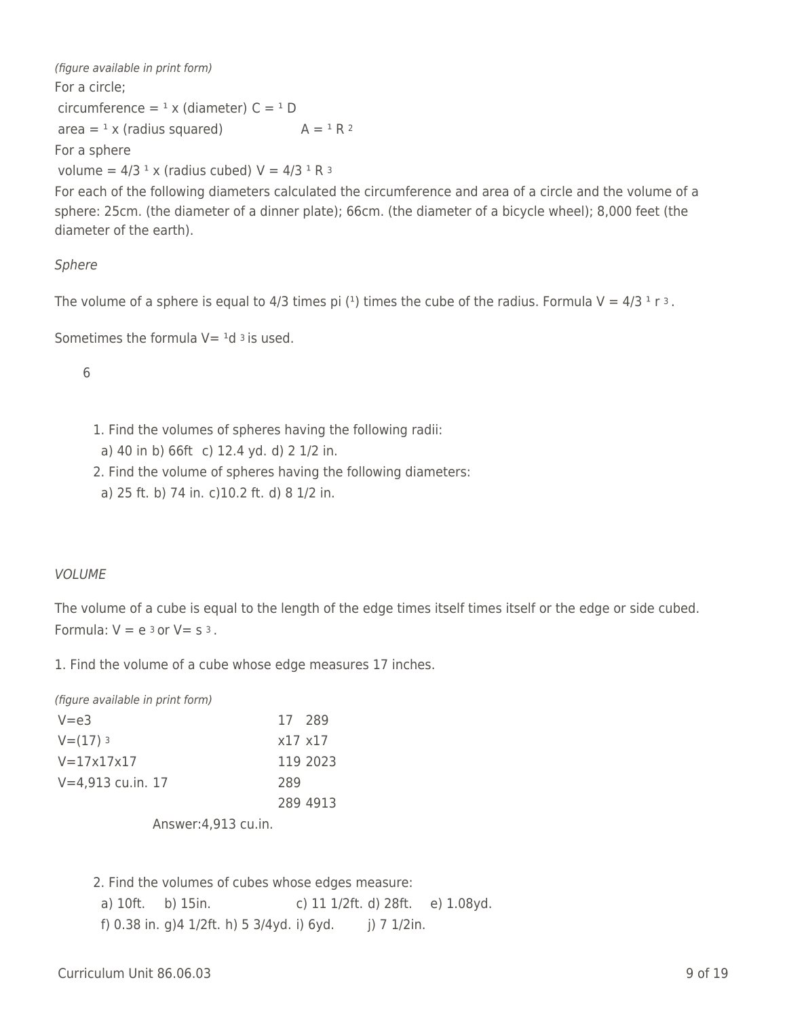(figure available in print form) For a circle; circumference =  $^1$  x (diameter) C =  $^1$  D area =  $\alpha$  x (radius squared)  $A = \alpha R^2$ For a sphere

volume =  $4/3$  <sup>1</sup> x (radius cubed)  $V = 4/3$  <sup>1</sup> R <sup>3</sup>

For each of the following diameters calculated the circumference and area of a circle and the volume of a sphere: 25cm. (the diameter of a dinner plate); 66cm. (the diameter of a bicycle wheel); 8,000 feet (the diameter of the earth).

### Sphere

The volume of a sphere is equal to 4/3 times pi (<sup>1</sup>) times the cube of the radius. Formula  $V = 4/3$  <sup>1</sup> r <sup>3</sup>.

Sometimes the formula  $V=$  <sup>1</sup>d <sup>3</sup> is used.

6

- 1. Find the volumes of spheres having the following radii:
- a) 40 in b) 66ft c) 12.4 yd. d) 2 1/2 in.
- 2. Find the volume of spheres having the following diameters:
- a) 25 ft. b) 74 in. c)10.2 ft. d) 8 1/2 in.

#### VOLUME

The volume of a cube is equal to the length of the edge times itself times itself or the edge or side cubed. Formula:  $V = e^{3}$  or  $V = s^{3}$ .

1. Find the volume of a cube whose edge measures 17 inches.

(figure available in print form)

| $V = e3$            |     | 17 289          |
|---------------------|-----|-----------------|
| $V = (17)$ 3        |     | $x17 \times 17$ |
| $V = 17x17x17$      |     | 119 2023        |
| $V=4,913$ cu.in. 17 | 289 |                 |
|                     |     | 289 4913        |
|                     |     |                 |

Answer:4,913 cu.in.

2. Find the volumes of cubes whose edges measure: a) 10ft. b) 15in. c) 11 1/2ft. d) 28ft. e) 1.08yd. f) 0.38 in. g) 4  $1/2$ ft. h) 5  $3/4$ yd. i) 6yd. j) 7  $1/2$ in.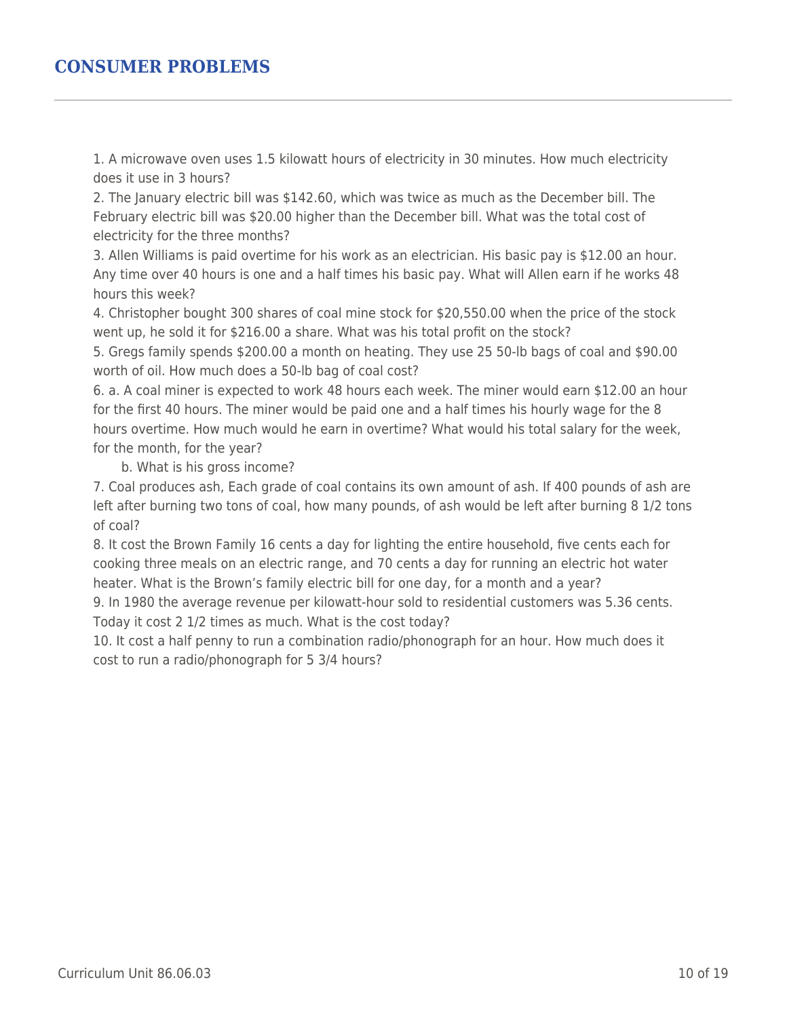### **CONSUMER PROBLEMS**

1. A microwave oven uses 1.5 kilowatt hours of electricity in 30 minutes. How much electricity does it use in 3 hours?

2. The January electric bill was \$142.60, which was twice as much as the December bill. The February electric bill was \$20.00 higher than the December bill. What was the total cost of electricity for the three months?

3. Allen Williams is paid overtime for his work as an electrician. His basic pay is \$12.00 an hour. Any time over 40 hours is one and a half times his basic pay. What will Allen earn if he works 48 hours this week?

4. Christopher bought 300 shares of coal mine stock for \$20,550.00 when the price of the stock went up, he sold it for \$216.00 a share. What was his total profit on the stock?

5. Gregs family spends \$200.00 a month on heating. They use 25 50-lb bags of coal and \$90.00 worth of oil. How much does a 50-lb bag of coal cost?

6. a. A coal miner is expected to work 48 hours each week. The miner would earn \$12.00 an hour for the first 40 hours. The miner would be paid one and a half times his hourly wage for the 8 hours overtime. How much would he earn in overtime? What would his total salary for the week, for the month, for the year?

b. What is his gross income?

7. Coal produces ash, Each grade of coal contains its own amount of ash. If 400 pounds of ash are left after burning two tons of coal, how many pounds, of ash would be left after burning 8 1/2 tons of coal?

8. It cost the Brown Family 16 cents a day for lighting the entire household, five cents each for cooking three meals on an electric range, and 70 cents a day for running an electric hot water heater. What is the Brown's family electric bill for one day, for a month and a year?

9. In 1980 the average revenue per kilowatt-hour sold to residential customers was 5.36 cents. Today it cost 2 1/2 times as much. What is the cost today?

10. It cost a half penny to run a combination radio/phonograph for an hour. How much does it cost to run a radio/phonograph for 5 3/4 hours?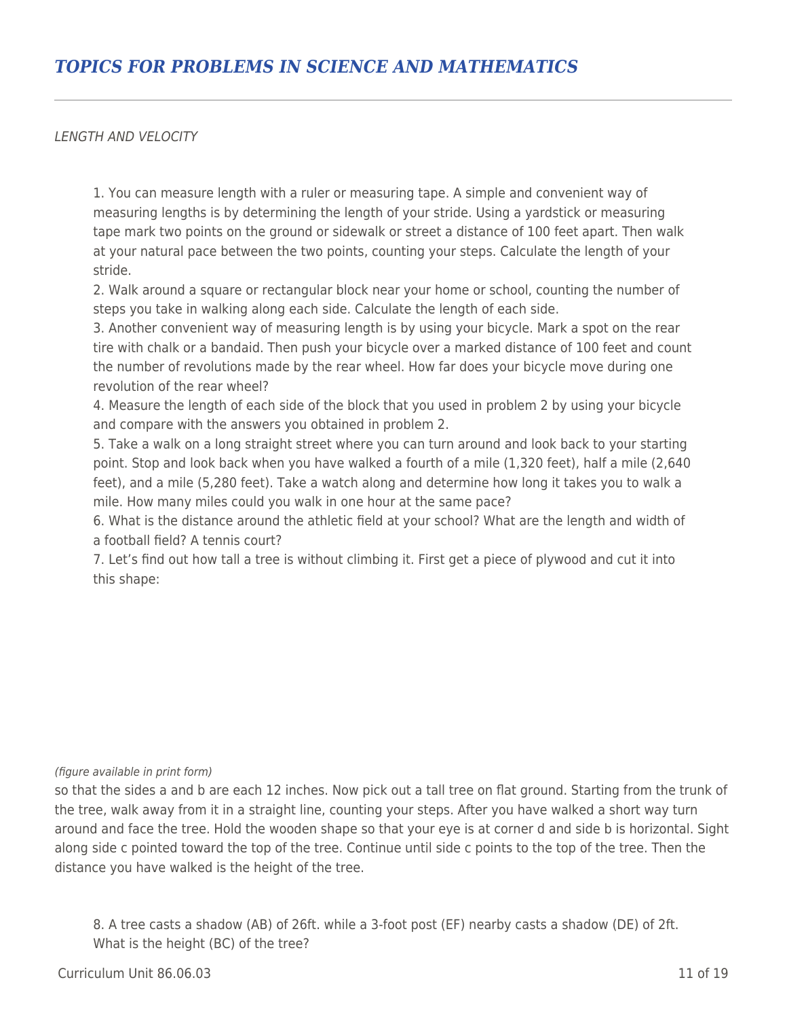LENGTH AND VELOCITY

1. You can measure length with a ruler or measuring tape. A simple and convenient way of measuring lengths is by determining the length of your stride. Using a yardstick or measuring tape mark two points on the ground or sidewalk or street a distance of 100 feet apart. Then walk at your natural pace between the two points, counting your steps. Calculate the length of your stride.

2. Walk around a square or rectangular block near your home or school, counting the number of steps you take in walking along each side. Calculate the length of each side.

3. Another convenient way of measuring length is by using your bicycle. Mark a spot on the rear tire with chalk or a bandaid. Then push your bicycle over a marked distance of 100 feet and count the number of revolutions made by the rear wheel. How far does your bicycle move during one revolution of the rear wheel?

4. Measure the length of each side of the block that you used in problem 2 by using your bicycle and compare with the answers you obtained in problem 2.

5. Take a walk on a long straight street where you can turn around and look back to your starting point. Stop and look back when you have walked a fourth of a mile (1,320 feet), half a mile (2,640 feet), and a mile (5,280 feet). Take a watch along and determine how long it takes you to walk a mile. How many miles could you walk in one hour at the same pace?

6. What is the distance around the athletic field at your school? What are the length and width of a football field? A tennis court?

7. Let's find out how tall a tree is without climbing it. First get a piece of plywood and cut it into this shape:

#### (figure available in print form)

so that the sides a and b are each 12 inches. Now pick out a tall tree on flat ground. Starting from the trunk of the tree, walk away from it in a straight line, counting your steps. After you have walked a short way turn around and face the tree. Hold the wooden shape so that your eye is at corner d and side b is horizontal. Sight along side c pointed toward the top of the tree. Continue until side c points to the top of the tree. Then the distance you have walked is the height of the tree.

8. A tree casts a shadow (AB) of 26ft. while a 3-foot post (EF) nearby casts a shadow (DE) of 2ft. What is the height (BC) of the tree?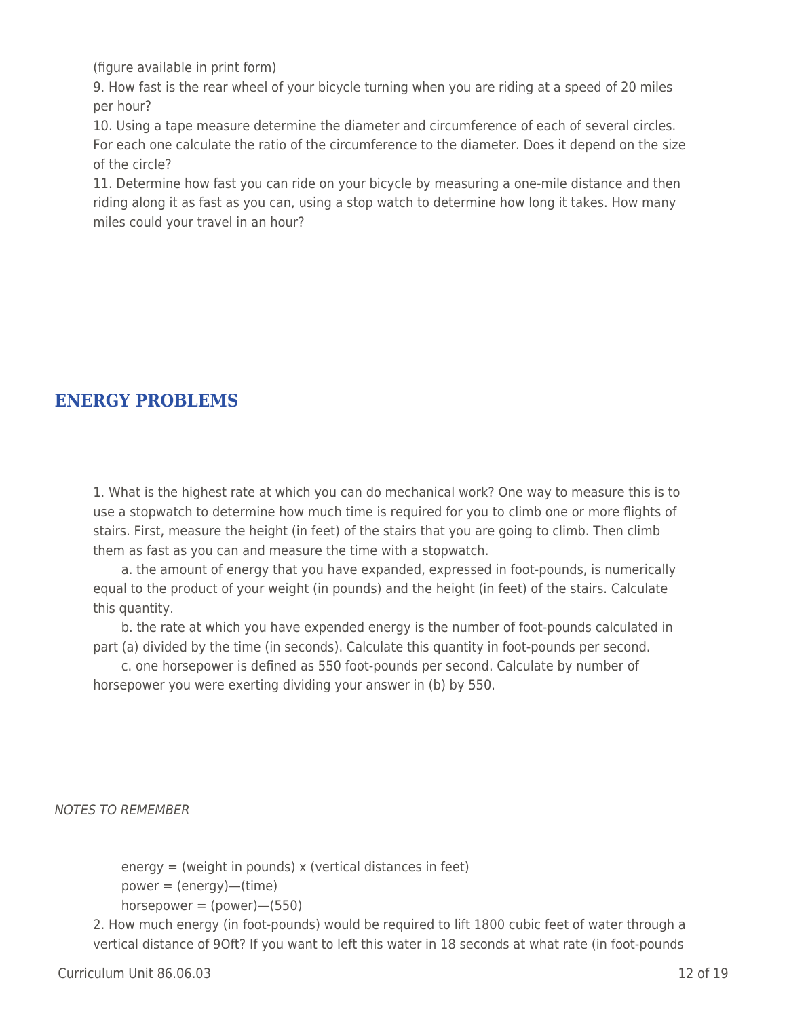(figure available in print form)

9. How fast is the rear wheel of your bicycle turning when you are riding at a speed of 20 miles per hour?

10. Using a tape measure determine the diameter and circumference of each of several circles. For each one calculate the ratio of the circumference to the diameter. Does it depend on the size of the circle?

11. Determine how fast you can ride on your bicycle by measuring a one-mile distance and then riding along it as fast as you can, using a stop watch to determine how long it takes. How many miles could your travel in an hour?

# **ENERGY PROBLEMS**

1. What is the highest rate at which you can do mechanical work? One way to measure this is to use a stopwatch to determine how much time is required for you to climb one or more flights of stairs. First, measure the height (in feet) of the stairs that you are going to climb. Then climb them as fast as you can and measure the time with a stopwatch.

a. the amount of energy that you have expanded, expressed in foot-pounds, is numerically equal to the product of your weight (in pounds) and the height (in feet) of the stairs. Calculate this quantity.

b. the rate at which you have expended energy is the number of foot-pounds calculated in part (a) divided by the time (in seconds). Calculate this quantity in foot-pounds per second.

\_\_\_\_ c. one horsepower is defined as 550 foot-pounds per second. Calculate by number of horsepower you were exerting dividing your answer in (b) by 550.

NOTES TO REMEMBER

energy = (weight in pounds) x (vertical distances in feet)

 $power = (energy)$ —(time)

 $horsepower = (power) - (550)$ 

2. How much energy (in foot-pounds) would be required to lift 1800 cubic feet of water through a vertical distance of 9Oft? If you want to left this water in 18 seconds at what rate (in foot-pounds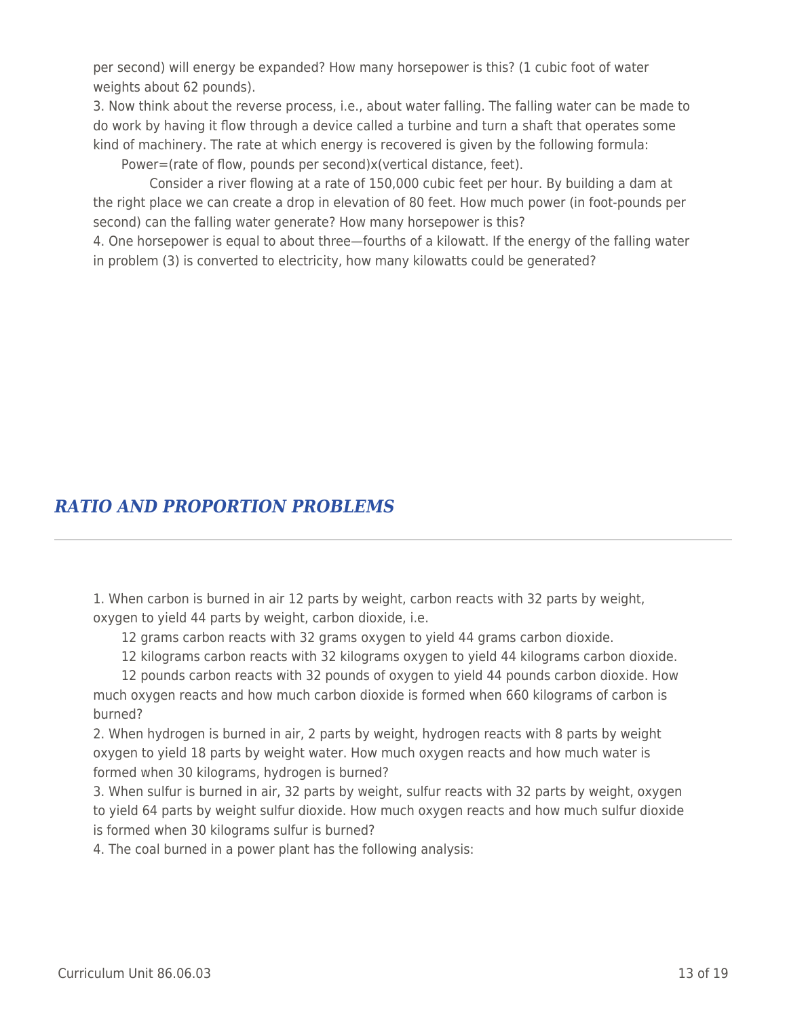per second) will energy be expanded? How many horsepower is this? (1 cubic foot of water weights about 62 pounds).

3. Now think about the reverse process, i.e., about water falling. The falling water can be made to do work by having it flow through a device called a turbine and turn a shaft that operates some kind of machinery. The rate at which energy is recovered is given by the following formula:

Power=(rate of flow, pounds per second)x(vertical distance, feet).

Consider a river flowing at a rate of 150,000 cubic feet per hour. By building a dam at the right place we can create a drop in elevation of 80 feet. How much power (in foot-pounds per second) can the falling water generate? How many horsepower is this?

4. One horsepower is equal to about three—fourths of a kilowatt. If the energy of the falling water in problem (3) is converted to electricity, how many kilowatts could be generated?

## *RATIO AND PROPORTION PROBLEMS*

1. When carbon is burned in air 12 parts by weight, carbon reacts with 32 parts by weight, oxygen to yield 44 parts by weight, carbon dioxide, i.e.

12 grams carbon reacts with 32 grams oxygen to yield 44 grams carbon dioxide.

12 kilograms carbon reacts with 32 kilograms oxygen to yield 44 kilograms carbon dioxide.

12 pounds carbon reacts with 32 pounds of oxygen to yield 44 pounds carbon dioxide. How much oxygen reacts and how much carbon dioxide is formed when 660 kilograms of carbon is burned?

2. When hydrogen is burned in air, 2 parts by weight, hydrogen reacts with 8 parts by weight oxygen to yield 18 parts by weight water. How much oxygen reacts and how much water is formed when 30 kilograms, hydrogen is burned?

3. When sulfur is burned in air, 32 parts by weight, sulfur reacts with 32 parts by weight, oxygen to yield 64 parts by weight sulfur dioxide. How much oxygen reacts and how much sulfur dioxide is formed when 30 kilograms sulfur is burned?

4. The coal burned in a power plant has the following analysis: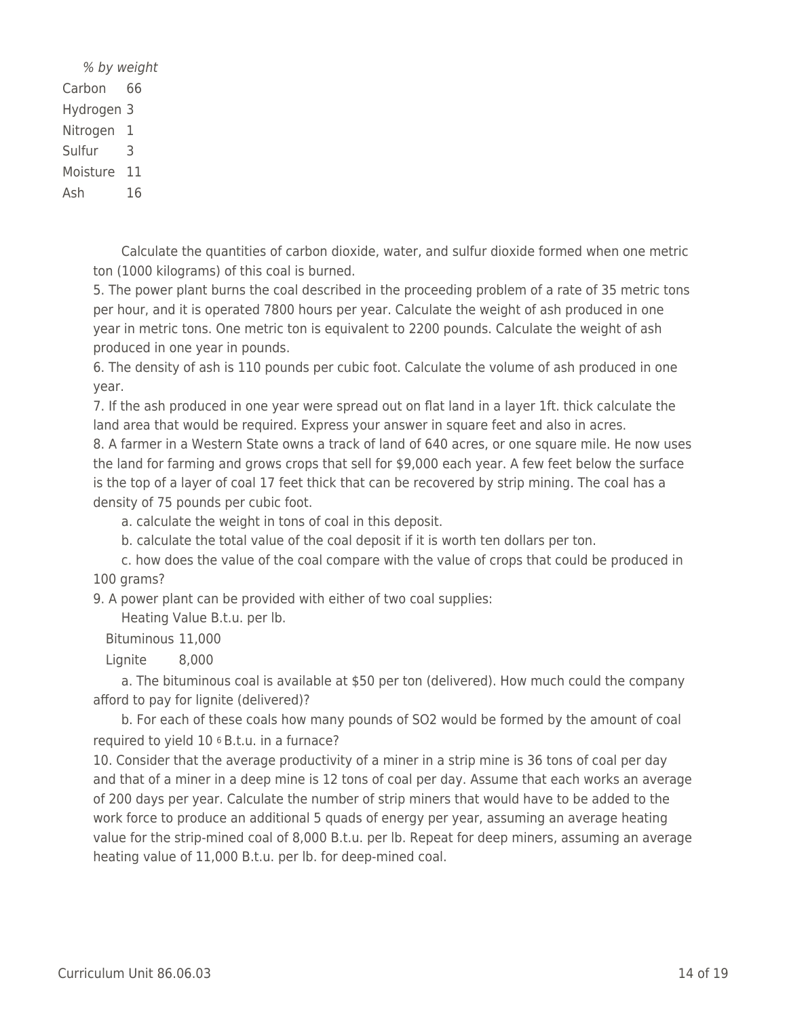\_\_\_\_ % by weight Carbon 66 Hydrogen 3 Nitrogen 1 Sulfur 3 Moisture 11 Ash 16

> \_\_\_\_ Calculate the quantities of carbon dioxide, water, and sulfur dioxide formed when one metric ton (1000 kilograms) of this coal is burned.

> 5. The power plant burns the coal described in the proceeding problem of a rate of 35 metric tons per hour, and it is operated 7800 hours per year. Calculate the weight of ash produced in one year in metric tons. One metric ton is equivalent to 2200 pounds. Calculate the weight of ash produced in one year in pounds.

6. The density of ash is 110 pounds per cubic foot. Calculate the volume of ash produced in one year.

7. If the ash produced in one year were spread out on flat land in a layer 1ft. thick calculate the land area that would be required. Express your answer in square feet and also in acres.

8. A farmer in a Western State owns a track of land of 640 acres, or one square mile. He now uses the land for farming and grows crops that sell for \$9,000 each year. A few feet below the surface is the top of a layer of coal 17 feet thick that can be recovered by strip mining. The coal has a density of 75 pounds per cubic foot.

a. calculate the weight in tons of coal in this deposit.

b. calculate the total value of the coal deposit if it is worth ten dollars per ton.

\_\_\_\_ c. how does the value of the coal compare with the value of crops that could be produced in 100 grams?

9. A power plant can be provided with either of two coal supplies:

Heating Value B.t.u. per lb.

Bituminous 11,000

Lignite 8,000

a. The bituminous coal is available at \$50 per ton (delivered). How much could the company afford to pay for lignite (delivered)?

b. For each of these coals how many pounds of SO2 would be formed by the amount of coal required to yield 10 6 B.t.u. in a furnace?

10. Consider that the average productivity of a miner in a strip mine is 36 tons of coal per day and that of a miner in a deep mine is 12 tons of coal per day. Assume that each works an average of 200 days per year. Calculate the number of strip miners that would have to be added to the work force to produce an additional 5 quads of energy per year, assuming an average heating value for the strip-mined coal of 8,000 B.t.u. per lb. Repeat for deep miners, assuming an average heating value of 11,000 B.t.u. per lb. for deep-mined coal.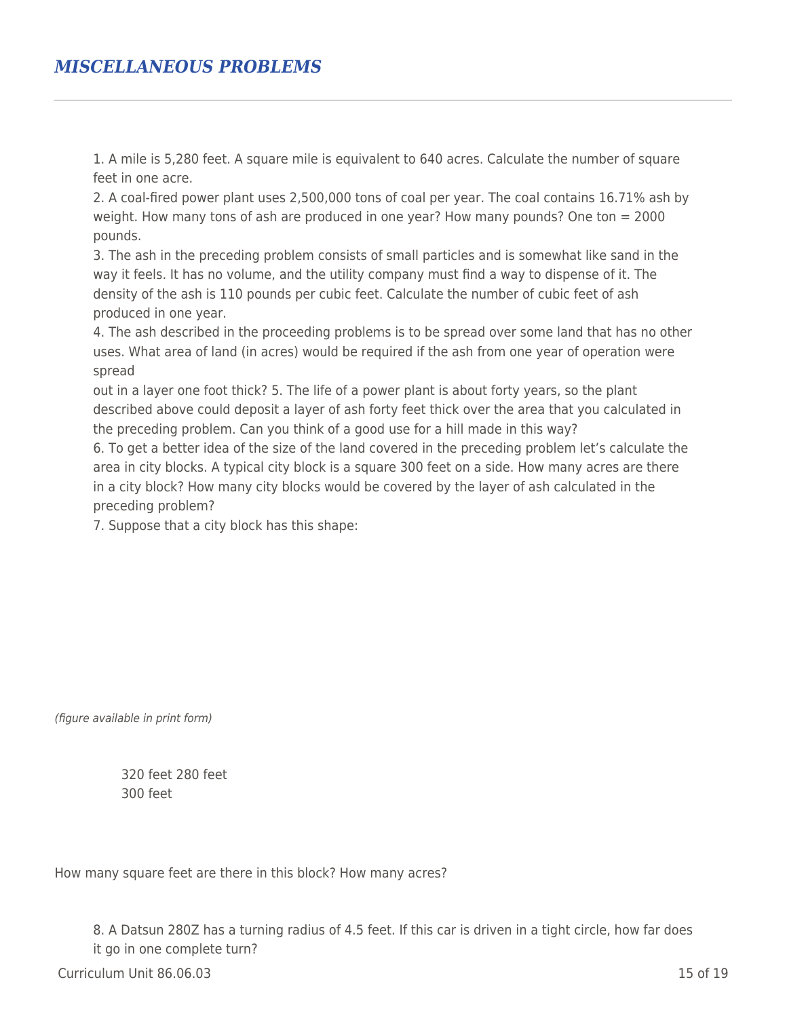### *MISCELLANEOUS PROBLEMS*

1. A mile is 5,280 feet. A square mile is equivalent to 640 acres. Calculate the number of square feet in one acre.

2. A coal-fired power plant uses 2,500,000 tons of coal per year. The coal contains 16.71% ash by weight. How many tons of ash are produced in one year? How many pounds? One ton = 2000 pounds.

3. The ash in the preceding problem consists of small particles and is somewhat like sand in the way it feels. It has no volume, and the utility company must find a way to dispense of it. The density of the ash is 110 pounds per cubic feet. Calculate the number of cubic feet of ash produced in one year.

4. The ash described in the proceeding problems is to be spread over some land that has no other uses. What area of land (in acres) would be required if the ash from one year of operation were spread

out in a layer one foot thick? 5. The life of a power plant is about forty years, so the plant described above could deposit a layer of ash forty feet thick over the area that you calculated in the preceding problem. Can you think of a good use for a hill made in this way?

6. To get a better idea of the size of the land covered in the preceding problem let's calculate the area in city blocks. A typical city block is a square 300 feet on a side. How many acres are there in a city block? How many city blocks would be covered by the layer of ash calculated in the preceding problem?

7. Suppose that a city block has this shape:

(figure available in print form)

\_\_\_\_ 320 feet 280 feet \_\_\_\_ 300 feet

How many square feet are there in this block? How many acres?

8. A Datsun 280Z has a turning radius of 4.5 feet. If this car is driven in a tight circle, how far does it go in one complete turn?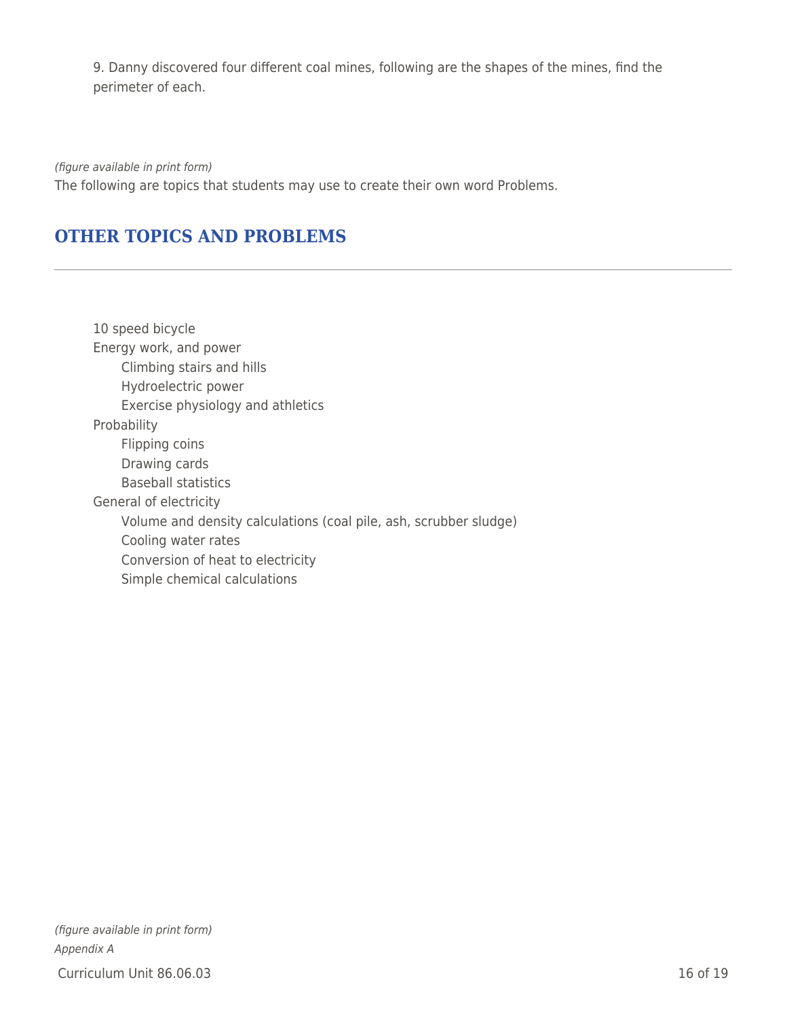9. Danny discovered four different coal mines, following are the shapes of the mines, find the perimeter of each.

(figure available in print form) The following are topics that students may use to create their own word Problems.

### **OTHER TOPICS AND PROBLEMS**

10 speed bicycle Energy work, and power Climbing stairs and hills Hydroelectric power Exercise physiology and athletics Probability Flipping coins Drawing cards Baseball statistics General of electricity Volume and density calculations (coal pile, ash, scrubber sludge) Cooling water rates Conversion of heat to electricity Simple chemical calculations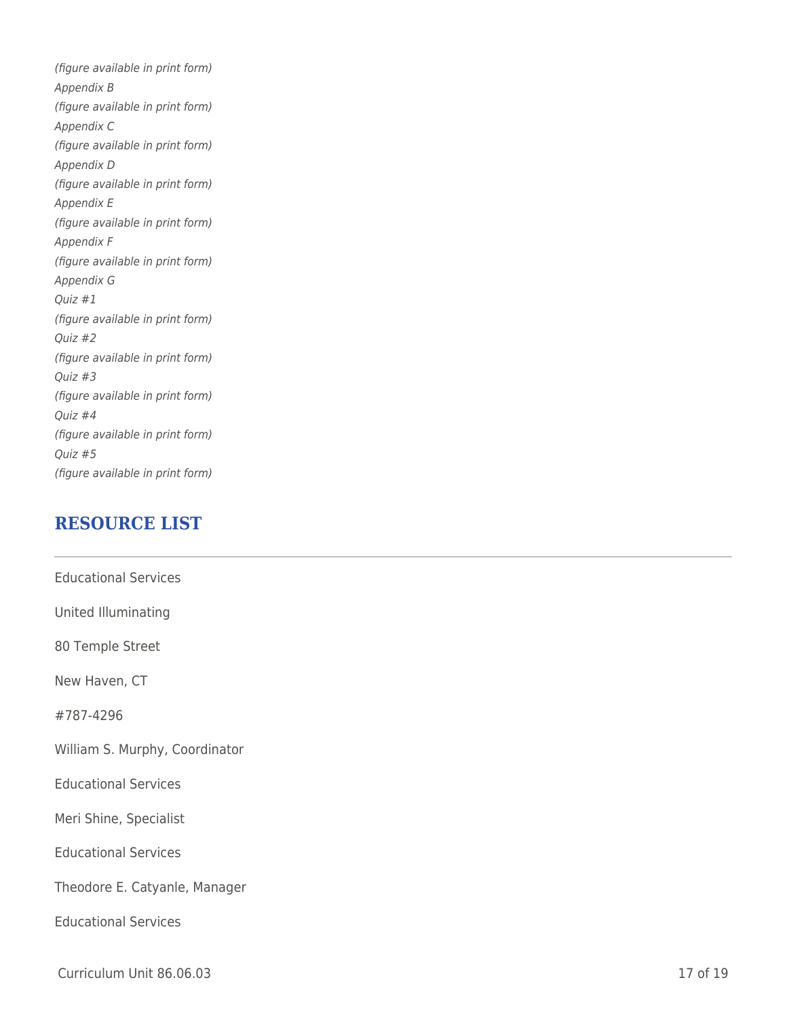(figure available in print form) Appendix B (figure available in print form) Appendix C (figure available in print form) Appendix D (figure available in print form) Appendix E (figure available in print form) Appendix F (figure available in print form) Appendix G Quiz #1 (figure available in print form) Quiz #2 (figure available in print form) Quiz #3 (figure available in print form) Quiz #4 (figure available in print form) Quiz #5 (figure available in print form)

### **RESOURCE LIST**

| <b>Educational Services</b>    |
|--------------------------------|
| United Illuminating            |
| 80 Temple Street               |
| New Haven, CT                  |
| #787-4296                      |
| William S. Murphy, Coordinator |
| <b>Educational Services</b>    |
| Meri Shine, Specialist         |
| <b>Educational Services</b>    |
| Theodore E. Catyanle, Manager  |
| <b>Educational Services</b>    |
|                                |

Curriculum Unit 86.06.03 17 of 19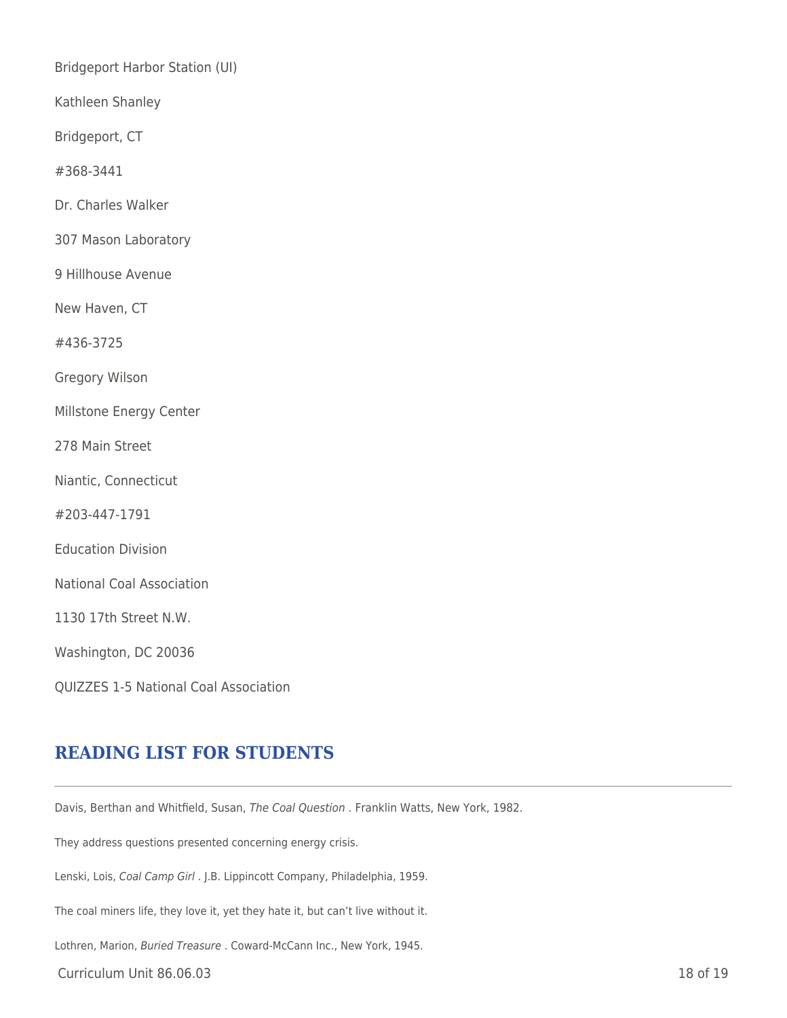Bridgeport Harbor Station (UI)

Kathleen Shanley

Bridgeport, CT

#368-3441

Dr. Charles Walker

307 Mason Laboratory

9 Hillhouse Avenue

New Haven, CT

#436-3725

Gregory Wilson

Millstone Energy Center

278 Main Street

Niantic, Connecticut

#203-447-1791

Education Division

National Coal Association

1130 17th Street N.W.

Washington, DC 20036

QUIZZES 1-5 National Coal Association

### **READING LIST FOR STUDENTS**

Davis, Berthan and Whitfield, Susan, The Coal Question . Franklin Watts, New York, 1982.

They address questions presented concerning energy crisis.

Lenski, Lois, Coal Camp Girl . J.B. Lippincott Company, Philadelphia, 1959.

The coal miners life, they love it, yet they hate it, but can't live without it.

Lothren, Marion, Buried Treasure . Coward-McCann Inc., New York, 1945.

Curriculum Unit 86.06.03 18 of 19